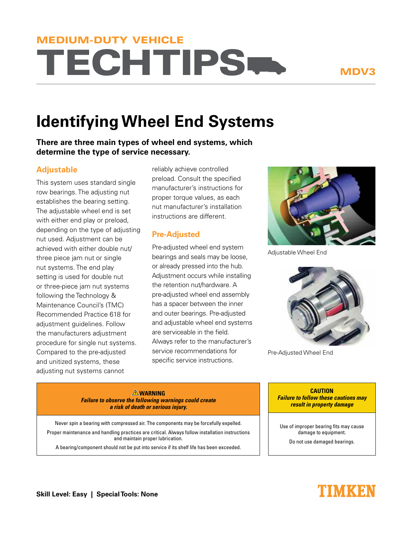# **TECHTIPS** MEDIUM-DUTY VEHICLE

MDV3

## **Identifying Wheel End Systems**

**There are three main types of wheel end systems, which determine the type of service necessary.**

#### **Adjustable**

This system uses standard single row bearings. The adjusting nut establishes the bearing setting. The adjustable wheel end is set with either end play or preload, depending on the type of adjusting nut used. Adjustment can be achieved with either double nut/ three piece jam nut or single nut systems. The end play setting is used for double nut or three-piece jam nut systems following the Technology & Maintenance Council's (TMC) Recommended Practice 618 for adjustment guidelines. Follow the manufacturers adjustment procedure for single nut systems. Compared to the pre-adjusted and unitized systems, these adjusting nut systems cannot

reliably achieve controlled preload. Consult the specified manufacturer's instructions for proper torque values, as each nut manufacturer's installation instructions are different.

### **Pre-Adjusted**

Pre-adjusted wheel end system bearings and seals may be loose, or already pressed into the hub. Adjustment occurs while installing the retention nut/hardware. A pre-adjusted wheel end assembly has a spacer between the inner and outer bearings. Pre-adjusted and adjustable wheel end systems are serviceable in the field. Always refer to the manufacturer's service recommendations for specific service instructions.



Adjustable Wheel End



Pre-Adjusted Wheel End

**WARNING Failure to observe the following warnings could create a risk of death or serious injury.**

Never spin a bearing with compressed air. The components may be forcefully expelled. Proper maintenance and handling practices are critical. Always follow installation instructions and maintain proper lubrication. A bearing/component should not be put into service if its shelf life has been exceeded.

**CAUTION Failure to follow these cautions may result in property damage**

Use of improper bearing fits may cause damage to equipment.

Do not use damaged bearings.